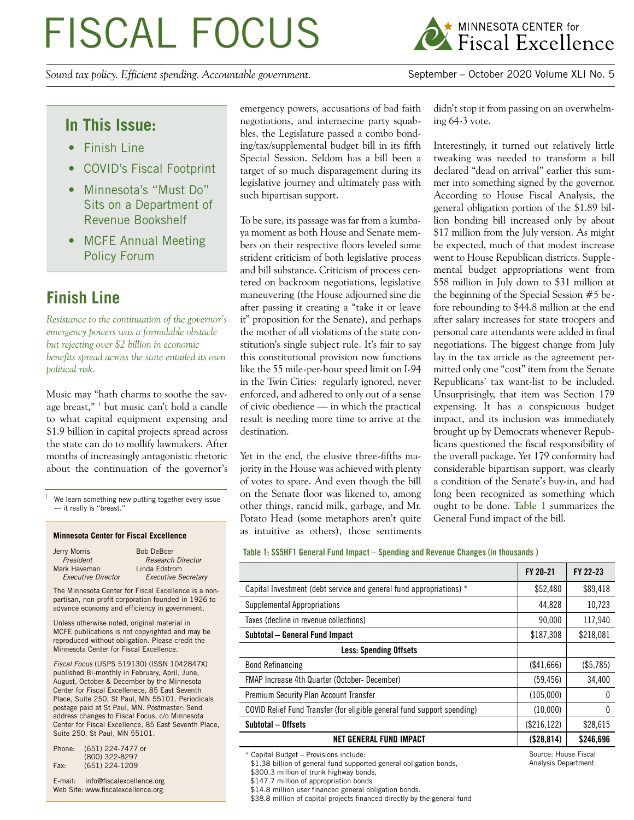# FISCAL FOCUS

*Sound tax policy. Efficient spending. Accountable government.* September – October 2020 Volume XLI No. 5



## **In This Issue:**

- Finish Line
- COVID's Fiscal Footprint
- Minnesota's "Must Do" Sits on a Department of Revenue Bookshelf
- MCFE Annual Meeting Policy Forum

# **Finish Line**

*Resistance to the continuation of the governor's emergency powers was a formidable obstacle but rejecting over \$2 billion in economic benefits spread across the state entailed its own political risk.*

Music may "hath charms to soothe the savage breast," <sup>1</sup> but music can't hold a candle to what capital equipment expensing and \$1.9 billion in capital projects spread across the state can do to mollify lawmakers. After months of increasingly antagonistic rhetoric about the continuation of the governor's

We learn something new putting together every issue — it really is "breast."

#### **Minnesota Center for Fiscal Excellence**

| Jerry Morris              | <b>Bob DeBoer</b>          |
|---------------------------|----------------------------|
| President                 | <b>Research Director</b>   |
| Mark Haveman              | Linda Edstrom              |
| <b>Executive Director</b> | <b>Executive Secretary</b> |

The Minnesota Center for Fiscal Excellence is a nonpartisan, non-profit corporation founded in 1926 to advance economy and efficiency in government.

Unless otherwise noted, original material in MCFE publications is not copyrighted and may be reproduced without obligation. Please credit the Minnesota Center for Fiscal Excellence.

*Fiscal Focus* (USPS 519130) (ISSN 1042847X) published Bi-monthly in February, April, June, August, October & December by the Minnesota Center for Fiscal Excellenece, 85 East Seventh Place, Suite 250, St Paul, MN 55101. Periodicals postage paid at St Paul, MN. Postmaster: Send address changes to Fiscal Focus, c/o Minnesota Center for Fiscal Excellence, 85 East Seventh Place, Suite 250, St Paul, MN 55101.

| Phone: | (651) 224-7477 or |
|--------|-------------------|
|        | (800) 322-8297    |
| Fax:   | $(651)$ 224-1209  |

E-mail: info@fiscalexcellence.org Web Site: www.fiscalexcellence.org

emergency powers, accusations of bad faith negotiations, and internecine party squabbles, the Legislature passed a combo bonding/tax/supplemental budget bill in its fifth Special Session. Seldom has a bill been a target of so much disparagement during its legislative journey and ultimately pass with such bipartisan support.

To be sure, its passage was far from a kumbaya moment as both House and Senate members on their respective floors leveled some strident criticism of both legislative process and bill substance. Criticism of process centered on backroom negotiations, legislative maneuvering (the House adjourned sine die after passing it creating a "take it or leave it" proposition for the Senate), and perhaps the mother of all violations of the state constitution's single subject rule. It's fair to say this constitutional provision now functions like the 55 mile-per-hour speed limit on I-94 in the Twin Cities: regularly ignored, never enforced, and adhered to only out of a sense of civic obedience — in which the practical result is needing more time to arrive at the destination.

Yet in the end, the elusive three-fifths majority in the House was achieved with plenty of votes to spare. And even though the bill on the Senate floor was likened to, among other things, rancid milk, garbage, and Mr. Potato Head (some metaphors aren't quite as intuitive as others), those sentiments didn't stop it from passing on an overwhelming 64-3 vote.

Interestingly, it turned out relatively little tweaking was needed to transform a bill declared "dead on arrival" earlier this summer into something signed by the governor. According to House Fiscal Analysis, the general obligation portion of the \$1.89 billion bonding bill increased only by about \$17 million from the July version. As might be expected, much of that modest increase went to House Republican districts. Supplemental budget appropriations went from \$58 million in July down to \$31 million at the beginning of the Special Session #5 before rebounding to \$44.8 million at the end after salary increases for state troopers and personal care attendants were added in final negotiations. The biggest change from July lay in the tax article as the agreement permitted only one "cost" item from the Senate Republicans' tax want-list to be included. Unsurprisingly, that item was Section 179 expensing. It has a conspicuous budget impact, and its inclusion was immediately brought up by Democrats whenever Republicans questioned the fiscal responsibility of the overall package. Yet 179 conformity had considerable bipartisan support, was clearly a condition of the Senate's buy-in, and had long been recognized as something which ought to be done. **Table 1** summarizes the General Fund impact of the bill.

#### **Table 1: SS5HF1 General Fund Impact – Spending and Revenue Changes (in thousands )**

|                                                                         | FY 20-21     | FY 22-23  |
|-------------------------------------------------------------------------|--------------|-----------|
| Capital Investment (debt service and general fund appropriations) *     | \$52,480     | \$89,418  |
| Supplemental Appropriations                                             | 44,828       | 10,723    |
| Taxes (decline in revenue collections)                                  | 90,000       | 117,940   |
| Subtotal – General Fund Impact                                          | \$187,308    | \$218,081 |
| <b>Less: Spending Offsets</b>                                           |              |           |
| <b>Bond Refinancing</b>                                                 | (\$41,666)   | (\$5,785) |
| <b>FMAP Increase 4th Quarter (October- December)</b>                    | (59, 456)    | 34,400    |
| Premium Security Plan Account Transfer                                  | (105,000)    |           |
| COVID Relief Fund Transfer (for eligible general fund support spending) | (10,000)     | 0         |
| Subtotal - Offsets                                                      | (\$216, 122) | \$28,615  |
| <b>NET GENERAL FUND IMPACT</b>                                          | (\$28,814)   | \$246,696 |

<sup>\*</sup> Capital Budget – Provisions include:

\$1.38 billion of general fund supported general obligation bonds, \$300.3 million of trunk highway bonds,

\$14.8 million user financed general obligation bonds.

\$38.8 million of capital projects financed directly by the general fund

<sup>\$147.7</sup> million of appropriation bonds

Source: House Fiscal Analysis Department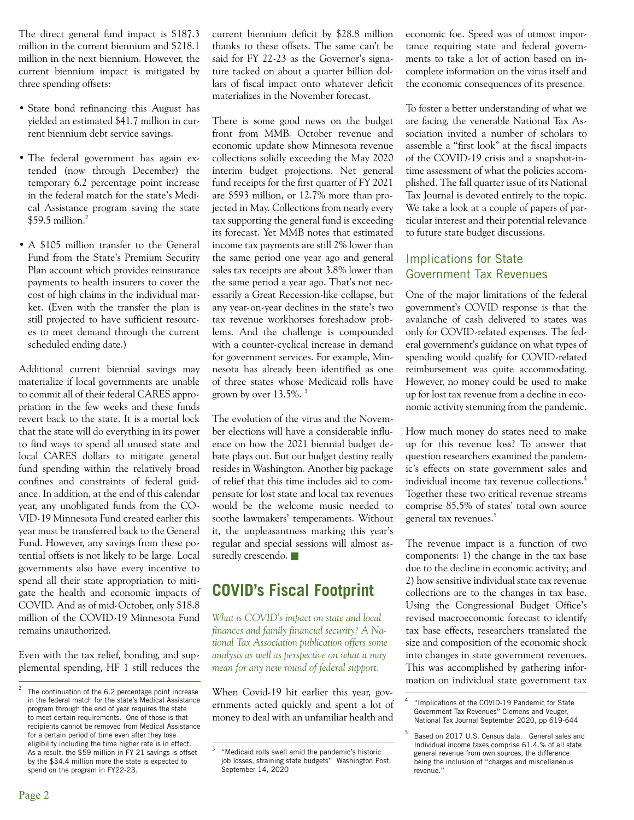The direct general fund impact is \$187.3 million in the current biennium and \$218.1 million in the next biennium. However, the current biennium impact is mitigated by three spending offsets:

- State bond refinancing this August has yielded an estimated \$41.7 million in current biennium debt service savings.
- The federal government has again extended (now through December) the temporary 6.2 percentage point increase in the federal match for the state's Medical Assistance program saving the state  $$59.5$  million.<sup>2</sup>
- A \$105 million transfer to the General Fund from the State's Premium Security Plan account which provides reinsurance payments to health insurers to cover the cost of high claims in the individual market. (Even with the transfer the plan is still projected to have sufficient resources to meet demand through the current scheduled ending date.)

Additional current biennial savings may materialize if local governments are unable to commit all of their federal CARES appropriation in the few weeks and these funds revert back to the state. It is a mortal lock that the state will do everything in its power to find ways to spend all unused state and local CARES dollars to mitigate general fund spending within the relatively broad confines and constraints of federal guidance. In addition, at the end of this calendar year, any unobligated funds from the CO-VID-19 Minnesota Fund created earlier this year must be transferred back to the General Fund. However, any savings from these potential offsets is not likely to be large. Local governments also have every incentive to spend all their state appropriation to mitigate the health and economic impacts of COVID. And as of mid-October, only \$18.8 million of the COVID-19 Minnesota Fund remains unauthorized.

Even with the tax relief, bonding, and supplemental spending, HF 1 still reduces the current biennium deficit by \$28.8 million thanks to these offsets. The same can't be said for FY 22-23 as the Governor's signature tacked on about a quarter billion dollars of fiscal impact onto whatever deficit materializes in the November forecast.

There is some good news on the budget front from MMB. October revenue and economic update show Minnesota revenue collections solidly exceeding the May 2020 interim budget projections. Net general fund receipts for the first quarter of FY 2021 are \$593 million, or 12.7% more than projected in May. Collections from nearly every tax supporting the general fund is exceeding its forecast. Yet MMB notes that estimated income tax payments are still 2% lower than the same period one year ago and general sales tax receipts are about 3.8% lower than the same period a year ago. That's not necessarily a Great Recession-like collapse, but any year-on-year declines in the state's two tax revenue workhorses foreshadow problems. And the challenge is compounded with a counter-cyclical increase in demand for government services. For example, Minnesota has already been identified as one of three states whose Medicaid rolls have grown by over 13.5%. <sup>3</sup>

The evolution of the virus and the November elections will have a considerable influence on how the 2021 biennial budget debate plays out. But our budget destiny really resides in Washington. Another big package of relief that this time includes aid to compensate for lost state and local tax revenues would be the welcome music needed to soothe lawmakers' temperaments. Without it, the unpleasantness marking this year's regular and special sessions will almost assuredly crescendo.

# **COVID's Fiscal Footprint**

*What is COVID's impact on state and local finances and family financial security? A National Tax Association publication offers some analysis as well as perspective on what it may mean for any new round of federal support.*

When Covid-19 hit earlier this year, governments acted quickly and spent a lot of money to deal with an unfamiliar health and

economic foe. Speed was of utmost importance requiring state and federal governments to take a lot of action based on incomplete information on the virus itself and the economic consequences of its presence.

To foster a better understanding of what we are facing, the venerable National Tax Association invited a number of scholars to assemble a "first look" at the fiscal impacts of the COVID-19 crisis and a snapshot-intime assessment of what the policies accomplished. The fall quarter issue of its National Tax Journal is devoted entirely to the topic. We take a look at a couple of papers of particular interest and their potential relevance to future state budget discussions.

## Implications for State Government Tax Revenues

One of the major limitations of the federal government's COVID response is that the avalanche of cash delivered to states was only for COVID-related expenses. The federal government's guidance on what types of spending would qualify for COVID-related reimbursement was quite accommodating. However, no money could be used to make up for lost tax revenue from a decline in economic activity stemming from the pandemic.

How much money do states need to make up for this revenue loss? To answer that question researchers examined the pandemic's effects on state government sales and individual income tax revenue collections.<sup>4</sup> Together these two critical revenue streams comprise 85.5% of states' total own source general tax revenues.<sup>5</sup>

The revenue impact is a function of two components: 1) the change in the tax base due to the decline in economic activity; and 2) how sensitive individual state tax revenue collections are to the changes in tax base. Using the Congressional Budget Office's revised macroeconomic forecast to identify tax base effects, researchers translated the size and composition of the economic shock into changes in state government revenues. This was accomplished by gathering information on individual state government tax

The continuation of the 6.2 percentage point increase in the federal match for the state's Medical Assistance program through the end of year requires the state to meet certain requirements. One of those is that recipients cannot be removed from Medical Assistance for a certain period of time even after they lose eligibility including the time higher rate is in effect. As a result, the \$59 million in FY 21 savings is offset by the \$34.4 million more the state is expected to spend on the program in FY22-23.

<sup>3</sup> "Medicaid rolls swell amid the pandemic's historic job losses, straining state budgets" Washington Post, September 14, 2020

<sup>4</sup> "Implications of the COVID-19 Pandemic for State Government Tax Revenues" Clemens and Veuger, National Tax Journal September 2020, pp 619-644

<sup>5</sup> Based on 2017 U.S. Census data. General sales and Individual income taxes comprise 61.4.% of all state general revenue from own sources, the difference being the inclusion of "charges and miscellaneous revenue."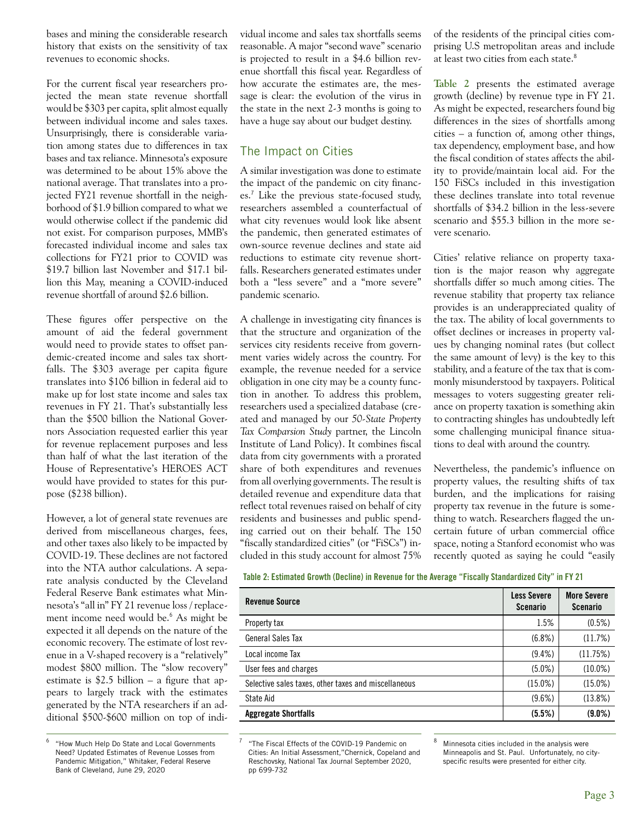bases and mining the considerable research history that exists on the sensitivity of tax revenues to economic shocks.

For the current fiscal year researchers projected the mean state revenue shortfall would be \$303 per capita, split almost equally between individual income and sales taxes. Unsurprisingly, there is considerable variation among states due to differences in tax bases and tax reliance. Minnesota's exposure was determined to be about 15% above the national average. That translates into a projected FY21 revenue shortfall in the neighborhood of \$1.9 billion compared to what we would otherwise collect if the pandemic did not exist. For comparison purposes, MMB's forecasted individual income and sales tax collections for FY21 prior to COVID was \$19.7 billion last November and \$17.1 billion this May, meaning a COVID-induced revenue shortfall of around \$2.6 billion.

These figures offer perspective on the amount of aid the federal government would need to provide states to offset pandemic-created income and sales tax shortfalls. The \$303 average per capita figure translates into \$106 billion in federal aid to make up for lost state income and sales tax revenues in FY 21. That's substantially less than the \$500 billion the National Governors Association requested earlier this year for revenue replacement purposes and less than half of what the last iteration of the House of Representative's HEROES ACT would have provided to states for this purpose (\$238 billion).

However, a lot of general state revenues are derived from miscellaneous charges, fees, and other taxes also likely to be impacted by COVID-19. These declines are not factored into the NTA author calculations. A separate analysis conducted by the Cleveland Federal Reserve Bank estimates what Minnesota's "all in" FY 21 revenue loss / replacement income need would be.<sup>6</sup> As might be expected it all depends on the nature of the economic recovery. The estimate of lost revenue in a V-shaped recovery is a "relatively" modest \$800 million. The "slow recovery" estimate is  $$2.5$  billion – a figure that appears to largely track with the estimates generated by the NTA researchers if an additional \$500-\$600 million on top of individual income and sales tax shortfalls seems reasonable. A major "second wave" scenario is projected to result in a \$4.6 billion revenue shortfall this fiscal year. Regardless of how accurate the estimates are, the message is clear: the evolution of the virus in the state in the next 2-3 months is going to have a huge say about our budget destiny.

## The Impact on Cities

A similar investigation was done to estimate the impact of the pandemic on city finances.<sup>7</sup> Like the previous state-focused study, researchers assembled a counterfactual of what city revenues would look like absent the pandemic, then generated estimates of own-source revenue declines and state aid reductions to estimate city revenue shortfalls. Researchers generated estimates under both a "less severe" and a "more severe" pandemic scenario.

A challenge in investigating city finances is that the structure and organization of the services city residents receive from government varies widely across the country. For example, the revenue needed for a service obligation in one city may be a county function in another. To address this problem, researchers used a specialized database (created and managed by our *50-State Property Tax Comparsion Study* partner, the Lincoln Institute of Land Policy). It combines fiscal data from city governments with a prorated share of both expenditures and revenues from all overlying governments. The result is detailed revenue and expenditure data that reflect total revenues raised on behalf of city residents and businesses and public spending carried out on their behalf. The 150 "fiscally standardized cities" (or "FiSCs") included in this study account for almost 75% of the residents of the principal cities comprising U.S metropolitan areas and include at least two cities from each state.<sup>8</sup>

**Table 2** presents the estimated average growth (decline) by revenue type in FY 21. As might be expected, researchers found big differences in the sizes of shortfalls among cities – a function of, among other things, tax dependency, employment base, and how the fiscal condition of states affects the ability to provide/maintain local aid. For the 150 FiSCs included in this investigation these declines translate into total revenue shortfalls of \$34.2 billion in the less-severe scenario and \$55.3 billion in the more severe scenario.

Cities' relative reliance on property taxation is the major reason why aggregate shortfalls differ so much among cities. The revenue stability that property tax reliance provides is an underappreciated quality of the tax. The ability of local governments to offset declines or increases in property values by changing nominal rates (but collect the same amount of levy) is the key to this stability, and a feature of the tax that is commonly misunderstood by taxpayers. Political messages to voters suggesting greater reliance on property taxation is something akin to contracting shingles has undoubtedly left some challenging municipal finance situations to deal with around the country.

Nevertheless, the pandemic's influence on property values, the resulting shifts of tax burden, and the implications for raising property tax revenue in the future is something to watch. Researchers flagged the uncertain future of urban commercial office space, noting a Stanford economist who was recently quoted as saying he could "easily

**Table 2: Estimated Growth (Decline) in Revenue for the Average "Fiscally Standardized City" in FY 21**

| <b>Revenue Source</b>                                | <b>Less Severe</b><br><b>Scenario</b> | <b>More Severe</b><br><b>Scenario</b> |
|------------------------------------------------------|---------------------------------------|---------------------------------------|
| Property tax                                         | 1.5%                                  | $(0.5\%)$                             |
| General Sales Tax                                    | $(6.8\%)$                             | (11.7%)                               |
| Local income Tax                                     | $(9.4\%)$                             | (11.75%)                              |
| User fees and charges                                | $(5.0\%)$                             | $(10.0\%)$                            |
| Selective sales taxes, other taxes and miscellaneous | $(15.0\%)$                            | $(15.0\%)$                            |
| State Aid                                            | $(9.6\%)$                             | $(13.8\%)$                            |
| <b>Aggregate Shortfalls</b>                          | (5.5%)                                | $(9.0\%)$                             |

<sup>&</sup>quot;The Fiscal Effects of the COVID-19 Pandemic on Cities: An Initial Assessment,"Chernick, Copeland and Reschovsky, National Tax Journal September 2020, pp 699-732

<sup>6</sup> "How Much Help Do State and Local Governments Need? Updated Estimates of Revenue Losses from Pandemic Mitigation," Whitaker, Federal Reserve Bank of Cleveland, June 29, 2020

Minnesota cities included in the analysis were Minneapolis and St. Paul. Unfortunately, no cityspecific results were presented for either city.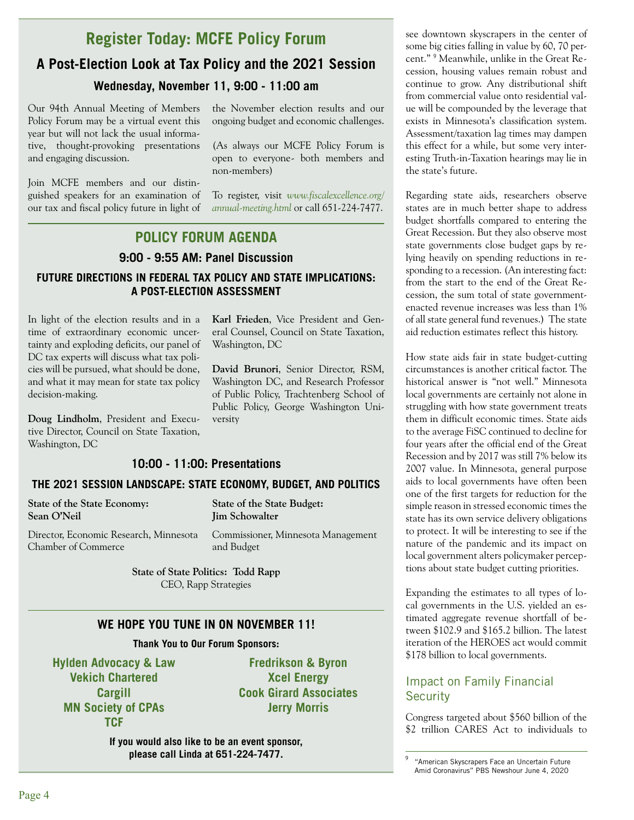## **Register Today: MCFE Policy Forum**

# **A Post-Election Look at Tax Policy and the 2021 Session Wednesday, November 11, 9:00 - 11:00 am**

Our 94th Annual Meeting of Members Policy Forum may be a virtual event this year but will not lack the usual informative, thought-provoking presentations and engaging discussion.

Join MCFE members and our distinguished speakers for an examination of our tax and fiscal policy future in light of the November election results and our ongoing budget and economic challenges.

(As always our MCFE Policy Forum is open to everyone- both members and non-members)

To register, visit *www.fiscalexcellence.org/ annual-meeting.html* or call 651-224-7477.

## **POLICY FORUM AGENDA**

## **9:00 - 9:55 AM: Panel Discussion**

## **FUTURE DIRECTIONS IN FEDERAL TAX POLICY AND STATE IMPLICATIONS: A POST-ELECTION ASSESSMENT**

In light of the election results and in a time of extraordinary economic uncertainty and exploding deficits, our panel of DC tax experts will discuss what tax policies will be pursued, what should be done, and what it may mean for state tax policy decision-making.

**Doug Lindholm**, President and Executive Director, Council on State Taxation, Washington, DC

**Karl Frieden**, Vice President and General Counsel, Council on State Taxation, Washington, DC

**David Brunori**, Senior Director, RSM, Washington DC, and Research Professor of Public Policy, Trachtenberg School of Public Policy, George Washington University

## **10:00 - 11:00: Presentations**

## **THE 2021 SESSION LANDSCAPE: STATE ECONOMY, BUDGET, AND POLITICS**

| State of the State Economy:<br>Sean O'Neil | State of the State Budget:<br><b>Jim Schowalter</b> |
|--------------------------------------------|-----------------------------------------------------|
| Director, Economic Research, Minnesota     | Commissioner, Minnesota Management                  |
| Chamber of Commerce                        | and Budget                                          |

**State of State Politics: Todd Rapp** CEO, Rapp Strategies

## **WE HOPE YOU TUNE IN ON NOVEMBER 11!**

### **Thank You to Our Forum Sponsors:**

**Hylden Advocacy & Law Vekich Chartered Cargill MN Society of CPAs TCF** 

**Fredrikson & Byron Xcel Energy Cook Girard Associates Jerry Morris**

**If you would also like to be an event sponsor, please call Linda at 651-224-7477.**

see downtown skyscrapers in the center of some big cities falling in value by 60, 70 percent." <sup>9</sup> Meanwhile, unlike in the Great Recession, housing values remain robust and continue to grow. Any distributional shift from commercial value onto residential value will be compounded by the leverage that exists in Minnesota's classification system. Assessment/taxation lag times may dampen this effect for a while, but some very interesting Truth-in-Taxation hearings may lie in the state's future.

Regarding state aids, researchers observe states are in much better shape to address budget shortfalls compared to entering the Great Recession. But they also observe most state governments close budget gaps by relying heavily on spending reductions in responding to a recession. (An interesting fact: from the start to the end of the Great Recession, the sum total of state governmentenacted revenue increases was less than 1% of all state general fund revenues.) The state aid reduction estimates reflect this history.

How state aids fair in state budget-cutting circumstances is another critical factor. The historical answer is "not well." Minnesota local governments are certainly not alone in struggling with how state government treats them in difficult economic times. State aids to the average FiSC continued to decline for four years after the official end of the Great Recession and by 2017 was still 7% below its 2007 value. In Minnesota, general purpose aids to local governments have often been one of the first targets for reduction for the simple reason in stressed economic times the state has its own service delivery obligations to protect. It will be interesting to see if the nature of the pandemic and its impact on local government alters policymaker perceptions about state budget cutting priorities.

Expanding the estimates to all types of local governments in the U.S. yielded an estimated aggregate revenue shortfall of between \$102.9 and \$165.2 billion. The latest iteration of the HEROES act would commit \$178 billion to local governments.

## Impact on Family Financial **Security**

Congress targeted about \$560 billion of the \$2 trillion CARES Act to individuals to

 $9<sup>9</sup>$  "American Skyscrapers Face an Uncertain Future Amid Coronavirus" PBS Newshour June 4, 2020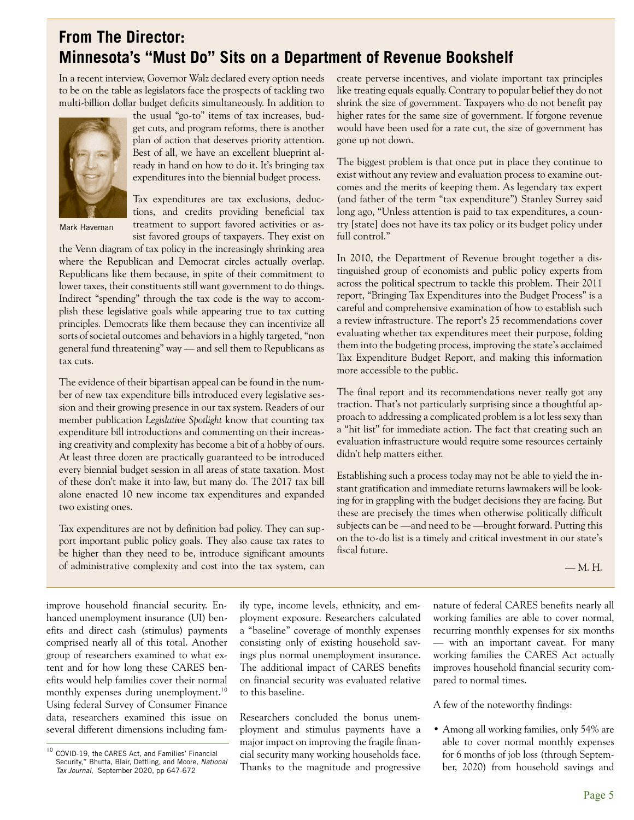# **From The Director: Minnesota's "Must Do" Sits on a Department of Revenue Bookshelf**

In a recent interview, Governor Walz declared every option needs to be on the table as legislators face the prospects of tackling two multi-billion dollar budget deficits simultaneously. In addition to



Mark Haveman

the usual "go-to" items of tax increases, budget cuts, and program reforms, there is another plan of action that deserves priority attention. Best of all, we have an excellent blueprint already in hand on how to do it. It's bringing tax expenditures into the biennial budget process.

Tax expenditures are tax exclusions, deductions, and credits providing beneficial tax treatment to support favored activities or assist favored groups of taxpayers. They exist on

the Venn diagram of tax policy in the increasingly shrinking area where the Republican and Democrat circles actually overlap. Republicans like them because, in spite of their commitment to lower taxes, their constituents still want government to do things. Indirect "spending" through the tax code is the way to accomplish these legislative goals while appearing true to tax cutting principles. Democrats like them because they can incentivize all sorts of societal outcomes and behaviors in a highly targeted, "non general fund threatening" way — and sell them to Republicans as tax cuts.

The evidence of their bipartisan appeal can be found in the number of new tax expenditure bills introduced every legislative session and their growing presence in our tax system. Readers of our member publication *Legislative Spotlight* know that counting tax expenditure bill introductions and commenting on their increasing creativity and complexity has become a bit of a hobby of ours. At least three dozen are practically guaranteed to be introduced every biennial budget session in all areas of state taxation. Most of these don't make it into law, but many do. The 2017 tax bill alone enacted 10 new income tax expenditures and expanded two existing ones.

Tax expenditures are not by definition bad policy. They can support important public policy goals. They also cause tax rates to be higher than they need to be, introduce significant amounts of administrative complexity and cost into the tax system, can

create perverse incentives, and violate important tax principles like treating equals equally. Contrary to popular belief they do not shrink the size of government. Taxpayers who do not benefit pay higher rates for the same size of government. If forgone revenue would have been used for a rate cut, the size of government has gone up not down.

The biggest problem is that once put in place they continue to exist without any review and evaluation process to examine outcomes and the merits of keeping them. As legendary tax expert (and father of the term "tax expenditure") Stanley Surrey said long ago, "Unless attention is paid to tax expenditures, a country [state] does not have its tax policy or its budget policy under full control."

In 2010, the Department of Revenue brought together a distinguished group of economists and public policy experts from across the political spectrum to tackle this problem. Their 2011 report, "Bringing Tax Expenditures into the Budget Process" is a careful and comprehensive examination of how to establish such a review infrastructure. The report's 25 recommendations cover evaluating whether tax expenditures meet their purpose, folding them into the budgeting process, improving the state's acclaimed Tax Expenditure Budget Report, and making this information more accessible to the public.

The final report and its recommendations never really got any traction. That's not particularly surprising since a thoughtful approach to addressing a complicated problem is a lot less sexy than a "hit list" for immediate action. The fact that creating such an evaluation infrastructure would require some resources certainly didn't help matters either.

Establishing such a process today may not be able to yield the instant gratification and immediate returns lawmakers will be looking for in grappling with the budget decisions they are facing. But these are precisely the times when otherwise politically difficult subjects can be —and need to be —brought forward. Putting this on the to-do list is a timely and critical investment in our state's fiscal future.

— M. H.

improve household financial security. Enhanced unemployment insurance (UI) benefits and direct cash (stimulus) payments comprised nearly all of this total. Another group of researchers examined to what extent and for how long these CARES benefits would help families cover their normal monthly expenses during unemployment.<sup>10</sup> Using federal Survey of Consumer Finance data, researchers examined this issue on several different dimensions including fam-

ily type, income levels, ethnicity, and employment exposure. Researchers calculated a "baseline" coverage of monthly expenses consisting only of existing household savings plus normal unemployment insurance. The additional impact of CARES benefits on financial security was evaluated relative to this baseline.

Researchers concluded the bonus unemployment and stimulus payments have a major impact on improving the fragile financial security many working households face. Security," Bhutta, Blair, Dettling, and Moore, *National* Clair Security marry working households race. The o months of job loss (through Septem-<br>Tax lournal September 2020 pp 647-672

nature of federal CARES benefits nearly all working families are able to cover normal, recurring monthly expenses for six months — with an important caveat. For many working families the CARES Act actually improves household financial security compared to normal times.

A few of the noteworthy findings:

• Among all working families, only 54% are able to cover normal monthly expenses for 6 months of job loss (through Septem-

<sup>10</sup> COVID-19, the CARES Act, and Families' Financial Security," Bhutta, Blair, Dettling, and Moore, *National Tax Journal*, September 2020, pp 647-672